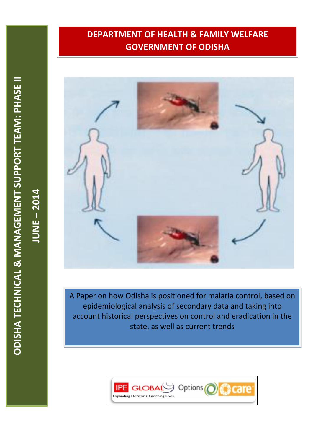# **DEPARTMENT OF HEALTH & FAMILY WELFARE GOVERNMENT OF ODISHA**



A Paper on how Odisha is positioned for malaria control, based on epidemiological analysis of secondary data and taking into account historical perspectives on control and eradication in the state, as well as current trends



**JUNE** 

**– 2014**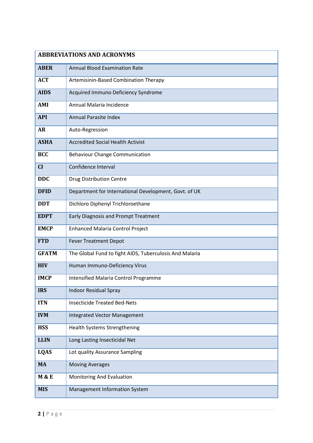|                  | <b>ABBREVIATIONS AND ACRONYMS</b>                       |
|------------------|---------------------------------------------------------|
| <b>ABER</b>      | <b>Annual Blood Examination Rate</b>                    |
| <b>ACT</b>       | Artemisinin-Based Combination Therapy                   |
| <b>AIDS</b>      | Acquired Immuno Deficiency Syndrome                     |
| AMI              | Annual Malaria Incidence                                |
| <b>API</b>       | <b>Annual Parasite Index</b>                            |
| <b>AR</b>        | Auto-Regression                                         |
| <b>ASHA</b>      | <b>Accredited Social Health Activist</b>                |
| <b>BCC</b>       | <b>Behaviour Change Communication</b>                   |
| CI               | Confidence Interval                                     |
| <b>DDC</b>       | <b>Drug Distribution Centre</b>                         |
| <b>DFID</b>      | Department for International Development, Govt. of UK   |
| <b>DDT</b>       | Dichloro Diphenyl Trichloroethane                       |
| <b>EDPT</b>      | <b>Early Diagnosis and Prompt Treatment</b>             |
| <b>EMCP</b>      | <b>Enhanced Malaria Control Project</b>                 |
| <b>FTD</b>       | <b>Fever Treatment Depot</b>                            |
| <b>GFATM</b>     | The Global Fund to fight AIDS, Tuberculosis And Malaria |
| <b>HIV</b>       | Human Immuno-Deficiency Virus                           |
| <b>IMCP</b>      | <b>Intensified Malaria Control Programme</b>            |
| <b>IRS</b>       | <b>Indoor Residual Spray</b>                            |
| <b>ITN</b>       | <b>Insecticide Treated Bed-Nets</b>                     |
| <b>IVM</b>       | Integrated Vector Management                            |
| <b>HSS</b>       | Health Systems Strengthening                            |
| <b>LLIN</b>      | Long Lasting Insecticidal Net                           |
| <b>LQAS</b>      | Lot quality Assurance Sampling                          |
| <b>MA</b>        | <b>Moving Averages</b>                                  |
| <b>M &amp; E</b> | Monitoring And Evaluation                               |
| <b>MIS</b>       | Management Information System                           |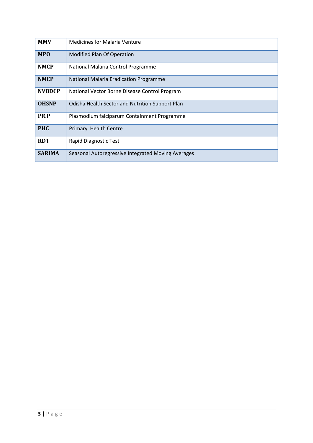| <b>MMV</b>    | <b>Medicines for Malaria Venture</b>               |
|---------------|----------------------------------------------------|
| <b>MPO</b>    | Modified Plan Of Operation                         |
| <b>NMCP</b>   | National Malaria Control Programme                 |
| <b>NMEP</b>   | National Malaria Eradication Programme             |
| <b>NVBDCP</b> | National Vector Borne Disease Control Program      |
| <b>OHSNP</b>  | Odisha Health Sector and Nutrition Support Plan    |
| <b>PfCP</b>   | Plasmodium falciparum Containment Programme        |
| <b>PHC</b>    | Primary Health Centre                              |
| <b>RDT</b>    | Rapid Diagnostic Test                              |
| <b>SARIMA</b> | Seasonal Autoregressive Integrated Moving Averages |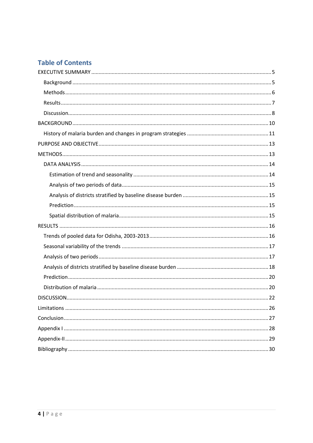# **Table of Contents**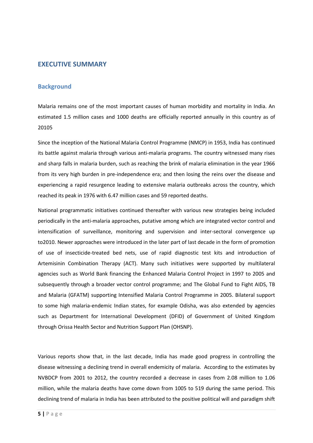## <span id="page-4-0"></span>**EXECUTIVE SUMMARY**

#### <span id="page-4-1"></span>**Background**

Malaria remains one of the most important causes of human morbidity and mortality in India. An estimated 1.5 million cases and 1000 deaths are officially reported annually in this country as of 20105

Since the inception of the National Malaria Control Programme (NMCP) in 1953, India has continued its battle against malaria through various anti-malaria programs. The country witnessed many rises and sharp falls in malaria burden, such as reaching the brink of malaria elimination in the year 1966 from its very high burden in pre-independence era; and then losing the reins over the disease and experiencing a rapid resurgence leading to extensive malaria outbreaks across the country, which reached its peak in 1976 with 6.47 million cases and 59 reported deaths.

National programmatic initiatives continued thereafter with various new strategies being included periodically in the anti-malaria approaches, putative among which are integrated vector control and intensification of surveillance, monitoring and supervision and inter-sectoral convergence up to2010. Newer approaches were introduced in the later part of last decade in the form of promotion of use of insecticide-treated bed nets, use of rapid diagnostic test kits and introduction of Artemisinin Combination Therapy (ACT). Many such initiatives were supported by multilateral agencies such as World Bank financing the Enhanced Malaria Control Project in 1997 to 2005 and subsequently through a broader vector control programme; and The Global Fund to Fight AIDS, TB and Malaria (GFATM) supporting Intensified Malaria Control Programme in 2005. Bilateral support to some high malaria-endemic Indian states, for example Odisha, was also extended by agencies such as Department for International Development (DFID) of Government of United Kingdom through Orissa Health Sector and Nutrition Support Plan (OHSNP).

Various reports show that, in the last decade, India has made good progress in controlling the disease witnessing a declining trend in overall endemicity of malaria. According to the estimates by NVBDCP from 2001 to 2012, the country recorded a decrease in cases from 2.08 million to 1.06 million, while the malaria deaths have come down from 1005 to 519 during the same period. This declining trend of malaria in India has been attributed to the positive political will and paradigm shift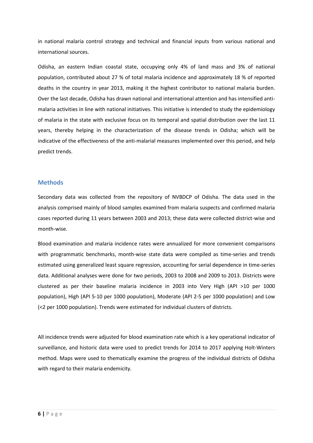in national malaria control strategy and technical and financial inputs from various national and international sources.

Odisha, an eastern Indian coastal state, occupying only 4% of land mass and 3% of national population, contributed about 27 % of total malaria incidence and approximately 18 % of reported deaths in the country in year 2013, making it the highest contributor to national malaria burden. Over the last decade, Odisha has drawn national and international attention and has intensified antimalaria activities in line with national initiatives. This initiative is intended to study the epidemiology of malaria in the state with exclusive focus on its temporal and spatial distribution over the last 11 years, thereby helping in the characterization of the disease trends in Odisha; which will be indicative of the effectiveness of the anti-malarial measures implemented over this period, and help predict trends.

## <span id="page-5-0"></span>**Methods**

Secondary data was collected from the repository of NVBDCP of Odisha. The data used in the analysis comprised mainly of blood samples examined from malaria suspects and confirmed malaria cases reported during 11 years between 2003 and 2013; these data were collected district-wise and month-wise.

Blood examination and malaria incidence rates were annualized for more convenient comparisons with programmatic benchmarks, month-wise state data were compiled as time-series and trends estimated using generalized least square regression, accounting for serial dependence in time-series data. Additional analyses were done for two periods, 2003 to 2008 and 2009 to 2013. Districts were clustered as per their baseline malaria incidence in 2003 into Very High (API >10 per 1000 population), High (API 5-10 per 1000 population), Moderate (API 2-5 per 1000 population) and Low (<2 per 1000 population). Trends were estimated for individual clusters of districts.

All incidence trends were adjusted for blood examination rate which is a key operational indicator of surveillance, and historic data were used to predict trends for 2014 to 2017 applying Holt-Winters method. Maps were used to thematically examine the progress of the individual districts of Odisha with regard to their malaria endemicity.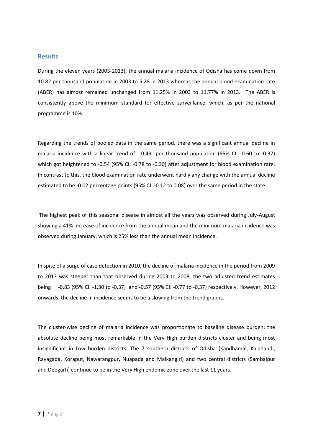## <span id="page-6-0"></span>**Results**

During the eleven years (2003-2013), the annual malaria incidence of Odisha has come down from 10.82 per thousand population in 2003 to 5.28 in 2013 whereas the annual blood examination rate (ABER) has almost remained unchanged from 11.25% in 2003 to 11.77% in 2013. The ABER is consistently above the minimum standard for effective surveillance, which, as per the national programme is 10%.

Regarding the trends of pooled data in the same period, there was a significant annual decline in malaria incidence with a linear trend of -0.49 per thousand population (95% CI: -0.60 to -0.37) which got heightened to -0.54 (95% CI: -0.78 to -0.30) after adjustment for blood examination rate. In contrast to this, the blood examination rate underwent hardly any change with the annual decline estimated to be -0.02 percentage points (95% CI: -0.12 to 0.08) over the same period in the state.

The highest peak of this seasonal disease in almost all the years was observed during July-August showing a 41% increase of incidence from the annual mean and the minimum malaria incidence was observed during January, which is 25% less than the annual mean incidence.

In spite of a surge of case detection in 2010, the decline of malaria incidence in the period from 2009 to 2013 was steeper than that observed during 2003 to 2008, the two adjusted trend estimates being -0.83 (95% CI: -1.30 to -0.37) and -0.57 (95% CI: -0.77 to -0.37) respectively. However, 2012 onwards, the decline in incidence seems to be a slowing from the trend graphs.

The cluster-wise decline of malaria incidence was proportionate to baseline disease burden; the absolute decline being most remarkable in the Very High burden districts cluster and being most insignificant in Low burden districts. The 7 southern districts of Odisha (Kandhamal, Kalahandi, Rayagada, Koraput, Nawarangpur, Nuapada and Malkangiri) and two central districts (Sambalpur and Deogarh) continue to be in the Very High endemic zone over the last 11 years.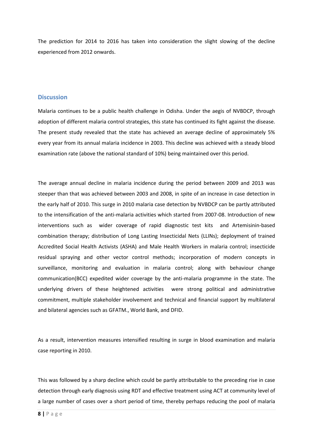The prediction for 2014 to 2016 has taken into consideration the slight slowing of the decline experienced from 2012 onwards.

#### <span id="page-7-0"></span>**Discussion**

Malaria continues to be a public health challenge in Odisha. Under the aegis of NVBDCP, through adoption of different malaria control strategies, this state has continued its fight against the disease. The present study revealed that the state has achieved an average decline of approximately 5% every year from its annual malaria incidence in 2003. This decline was achieved with a steady blood examination rate (above the national standard of 10%) being maintained over this period.

The average annual decline in malaria incidence during the period between 2009 and 2013 was steeper than that was achieved between 2003 and 2008, in spite of an increase in case detection in the early half of 2010. This surge in 2010 malaria case detection by NVBDCP can be partly attributed to the intensification of the anti-malaria activities which started from 2007-08. Introduction of new interventions such as wider coverage of rapid diagnostic test kits and Artemisinin-based combination therapy; distribution of Long Lasting Insecticidal Nets (LLINs); deployment of trained Accredited Social Health Activists (ASHA) and Male Health Workers in malaria control; insecticide residual spraying and other vector control methods; incorporation of modern concepts in surveillance, monitoring and evaluation in malaria control; along with behaviour change communication(BCC) expedited wider coverage by the anti-malaria programme in the state. The underlying drivers of these heightened activities were strong political and administrative commitment, multiple stakeholder involvement and technical and financial support by multilateral and bilateral agencies such as GFATM., World Bank, and DFID.

As a result, intervention measures intensified resulting in surge in blood examination and malaria case reporting in 2010.

This was followed by a sharp decline which could be partly attributable to the preceding rise in case detection through early diagnosis using RDT and effective treatment using ACT at community level of a large number of cases over a short period of time, thereby perhaps reducing the pool of malaria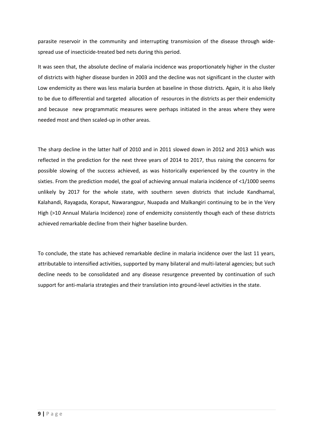parasite reservoir in the community and interrupting transmission of the disease through widespread use of insecticide-treated bed nets during this period.

It was seen that, the absolute decline of malaria incidence was proportionately higher in the cluster of districts with higher disease burden in 2003 and the decline was not significant in the cluster with Low endemicity as there was less malaria burden at baseline in those districts. Again, it is also likely to be due to differential and targeted allocation of resources in the districts as per their endemicity and because new programmatic measures were perhaps initiated in the areas where they were needed most and then scaled-up in other areas.

The sharp decline in the latter half of 2010 and in 2011 slowed down in 2012 and 2013 which was reflected in the prediction for the next three years of 2014 to 2017, thus raising the concerns for possible slowing of the success achieved, as was historically experienced by the country in the sixties. From the prediction model, the goal of achieving annual malaria incidence of <1/1000 seems unlikely by 2017 for the whole state, with southern seven districts that include Kandhamal, Kalahandi, Rayagada, Koraput, Nawarangpur, Nuapada and Malkangiri continuing to be in the Very High (>10 Annual Malaria Incidence) zone of endemicity consistently though each of these districts achieved remarkable decline from their higher baseline burden.

To conclude, the state has achieved remarkable decline in malaria incidence over the last 11 years, attributable to intensified activities, supported by many bilateral and multi-lateral agencies; but such decline needs to be consolidated and any disease resurgence prevented by continuation of such support for anti-malaria strategies and their translation into ground-level activities in the state.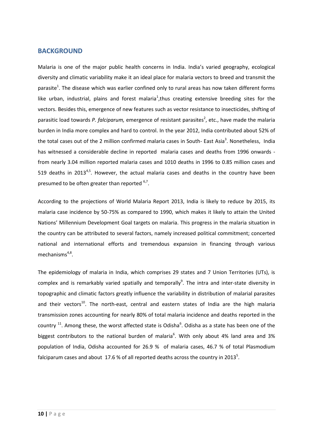## <span id="page-9-0"></span>**BACKGROUND**

Malaria is one of the major public health concerns in India. India's varied geography, ecological diversity and climatic variability make it an ideal place for malaria vectors to breed and transmit the parasite<sup>1</sup>. The disease which was earlier confined only to rural areas has now taken different forms like urban, industrial, plains and forest malaria<sup>1</sup>, thus creating extensive breeding sites for the vectors. Besides this, emergence of new features such as vector resistance to insecticides, shifting of parasitic load towards P. falciparum, emergence of resistant parasites<sup>2</sup>, etc., have made the malaria burden in India more complex and hard to control. In the year 2012, India contributed about 52% of the total cases out of the 2 million confirmed malaria cases in South- East Asia<sup>3</sup>. Nonetheless, India has witnessed a considerable decline in reported malaria cases and deaths from 1996 onwards from nearly 3.04 million reported malaria cases and 1010 deaths in 1996 to 0.85 million cases and 519 deaths in 2013<sup>4,5</sup>. However, the actual malaria cases and deaths in the country have been presumed to be often greater than reported <sup>6,7</sup>.

According to the projections of World Malaria Report 2013, India is likely to reduce by 2015, its malaria case incidence by 50-75% as compared to 1990, which makes it likely to attain the United Nations' Millennium Development Goal targets on malaria. This progress in the malaria situation in the country can be attributed to several factors, namely increased political commitment; concerted national and international efforts and tremendous expansion in financing through various mechanisms<sup>4,8</sup>.

The epidemiology of malaria in India, which comprises 29 states and 7 Union Territories (UTs), is complex and is remarkably varied spatially and temporally<sup>9</sup>. The intra and inter-state diversity in topographic and climatic factors greatly influence the variability in distribution of malarial parasites and their vectors<sup>10</sup>. The north-east, central and eastern states of India are the high malaria transmission zones accounting for nearly 80% of total malaria incidence and deaths reported in the country  $^{11}$ . Among these, the worst affected state is Odisha<sup>6</sup>. Odisha as a state has been one of the biggest contributors to the national burden of malaria<sup>6</sup>. With only about 4% land area and 3% population of India, Odisha accounted for 26.9 % of malaria cases, 46.7 % of total Plasmodium falciparum cases and about 17.6 % of all reported deaths across the country in 2013<sup>5</sup>.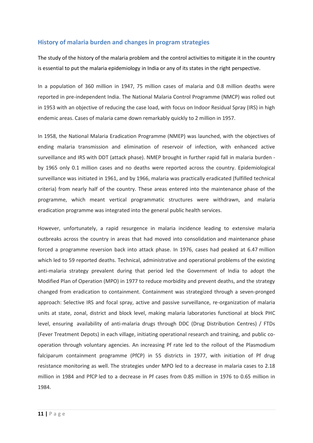## <span id="page-10-0"></span>**History of malaria burden and changes in program strategies**

The study of the history of the malaria problem and the control activities to mitigate it in the country is essential to put the malaria epidemiology in India or any of its states in the right perspective.

In a population of 360 million in 1947, 75 million cases of malaria and 0.8 million deaths were reported in pre-independent India. The National Malaria Control Programme (NMCP) was rolled out in 1953 with an objective of reducing the case load, with focus on Indoor Residual Spray (IRS) in high endemic areas. Cases of malaria came down remarkably quickly to 2 million in 1957.

In 1958, the National Malaria Eradication Programme (NMEP) was launched, with the objectives of ending malaria transmission and elimination of reservoir of infection, with enhanced active surveillance and IRS with DDT (attack phase). NMEP brought in further rapid fall in malaria burden by 1965 only 0.1 million cases and no deaths were reported across the country. Epidemiological surveillance was initiated in 1961, and by 1966, malaria was practically eradicated (fulfilled technical criteria) from nearly half of the country. These areas entered into the maintenance phase of the programme, which meant vertical programmatic structures were withdrawn, and malaria eradication programme was integrated into the general public health services.

However, unfortunately, a rapid resurgence in malaria incidence leading to extensive malaria outbreaks across the country in areas that had moved into consolidation and maintenance phase forced a programme reversion back into attack phase. In 1976, cases had peaked at 6.47 million which led to 59 reported deaths. Technical, administrative and operational problems of the existing anti-malaria strategy prevalent during that period led the Government of India to adopt the Modified Plan of Operation (MPO) in 1977 to reduce morbidity and prevent deaths, and the strategy changed from eradication to containment. Containment was strategized through a seven-pronged approach: Selective IRS and focal spray, active and passive surveillance, re-organization of malaria units at state, zonal, district and block level, making malaria laboratories functional at block PHC level, ensuring availability of anti-malaria drugs through DDC (Drug Distribution Centres) / FTDs (Fever Treatment Depots) in each village, initiating operational research and training, and public cooperation through voluntary agencies. An increasing Pf rate led to the rollout of the Plasmodium falciparum containment programme (PfCP) in 55 districts in 1977, with initiation of Pf drug resistance monitoring as well. The strategies under MPO led to a decrease in malaria cases to 2.18 million in 1984 and PfCP led to a decrease in Pf cases from 0.85 million in 1976 to 0.65 million in 1984.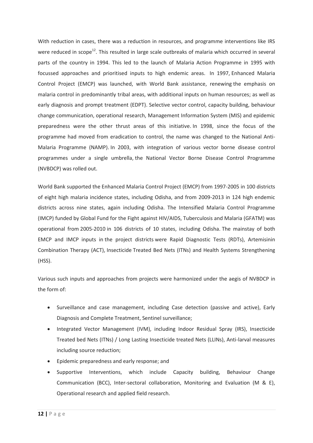With reduction in cases, there was a reduction in resources, and programme interventions like IRS were reduced in scope<sup>12</sup>. This resulted in large scale outbreaks of malaria which occurred in several parts of the country in 1994. This led to the launch of Malaria Action Programme in 1995 with focussed approaches and prioritised inputs to high endemic areas. In 1997, Enhanced Malaria Control Project (EMCP) was launched, with World Bank assistance, renewing the emphasis on malaria control in predominantly tribal areas, with additional inputs on human resources; as well as early diagnosis and prompt treatment (EDPT). Selective vector control, capacity building, behaviour change communication, operational research, Management Information System (MIS) and epidemic preparedness were the other thrust areas of this initiative. In 1998, since the focus of the programme had moved from eradication to control, the name was changed to the National Anti-Malaria Programme (NAMP). In 2003, with integration of various vector borne disease control programmes under a single umbrella, the National Vector Borne Disease Control Programme (NVBDCP) was rolled out.

World Bank supported the Enhanced Malaria Control Project (EMCP) from 1997-2005 in 100 districts of eight high malaria incidence states, including Odisha, and from 2009-2013 in 124 high endemic districts across nine states, again including Odisha. The Intensified Malaria Control Programme (IMCP) funded by Global Fund for the Fight against HIV/AIDS, Tuberculosis and Malaria (GFATM) was operational from 2005-2010 in 106 districts of 10 states, including Odisha. The mainstay of both EMCP and IMCP inputs in the project districts were Rapid Diagnostic Tests (RDTs), Artemisinin Combination Therapy (ACT), Insecticide Treated Bed Nets (ITNs) and Health Systems Strengthening (HSS).

Various such inputs and approaches from projects were harmonized under the aegis of NVBDCP in the form of:

- Surveillance and case management, including Case detection (passive and active), Early Diagnosis and Complete Treatment, Sentinel surveillance;
- Integrated Vector Management (IVM), including Indoor Residual Spray (IRS), Insecticide Treated bed Nets (ITNs) / Long Lasting Insecticide treated Nets (LLINs), Anti-larval measures including source reduction;
- Epidemic preparedness and early response; and
- Supportive Interventions, which include Capacity building, Behaviour Change Communication (BCC), Inter-sectoral collaboration, Monitoring and Evaluation (M & E), Operational research and applied field research.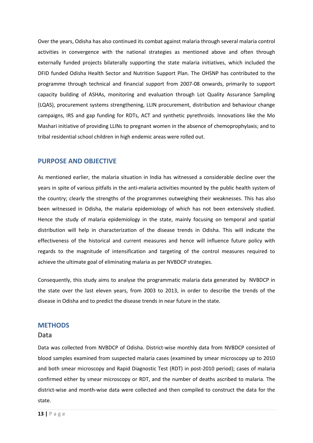Over the years, Odisha has also continued its combat against malaria through several malaria control activities in convergence with the national strategies as mentioned above and often through externally funded projects bilaterally supporting the state malaria initiatives, which included the DFID funded Odisha Health Sector and Nutrition Support Plan. The OHSNP has contributed to the programme through technical and financial support from 2007-08 onwards, primarily to support capacity building of ASHAs, monitoring and evaluation through Lot Quality Assurance Sampling (LQAS), procurement systems strengthening, LLIN procurement, distribution and behaviour change campaigns, IRS and gap funding for RDTs, ACT and synthetic pyrethroids. Innovations like the Mo Mashari initiative of providing LLINs to pregnant women in the absence of chemoprophylaxis; and to tribal residential school children in high endemic areas were rolled out.

## <span id="page-12-0"></span>**PURPOSE AND OBJECTIVE**

As mentioned earlier, the malaria situation in India has witnessed a considerable decline over the years in spite of various pitfalls in the anti-malaria activities mounted by the public health system of the country; clearly the strengths of the programmes outweighing their weaknesses. This has also been witnessed in Odisha, the malaria epidemiology of which has not been extensively studied. Hence the study of malaria epidemiology in the state, mainly focusing on temporal and spatial distribution will help in characterization of the disease trends in Odisha. This will indicate the effectiveness of the historical and current measures and hence will influence future policy with regards to the magnitude of intensification and targeting of the control measures required to achieve the ultimate goal of eliminating malaria as per NVBDCP strategies.

Consequently, this study aims to analyse the programmatic malaria data generated by NVBDCP in the state over the last eleven years, from 2003 to 2013, in order to describe the trends of the disease in Odisha and to predict the disease trends in near future in the state.

## <span id="page-12-1"></span>**METHODS**

#### Data

Data was collected from NVBDCP of Odisha. District-wise monthly data from NVBDCP consisted of blood samples examined from suspected malaria cases (examined by smear microscopy up to 2010 and both smear microscopy and Rapid Diagnostic Test (RDT) in post-2010 period); cases of malaria confirmed either by smear microscopy or RDT, and the number of deaths ascribed to malaria. The district-wise and month-wise data were collected and then compiled to construct the data for the state.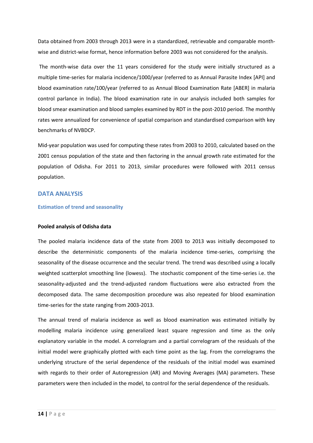Data obtained from 2003 through 2013 were in a standardized, retrievable and comparable monthwise and district-wise format, hence information before 2003 was not considered for the analysis.

The month-wise data over the 11 years considered for the study were initially structured as a multiple time-series for malaria incidence/1000/year (referred to as Annual Parasite Index [API] and blood examination rate/100/year (referred to as Annual Blood Examination Rate [ABER] in malaria control parlance in India). The blood examination rate in our analysis included both samples for blood smear examination and blood samples examined by RDT in the post-2010 period. The monthly rates were annualized for convenience of spatial comparison and standardised comparison with key benchmarks of NVBDCP.

Mid-year population was used for computing these rates from 2003 to 2010, calculated based on the 2001 census population of the state and then factoring in the annual growth rate estimated for the population of Odisha. For 2011 to 2013, similar procedures were followed with 2011 census population.

#### <span id="page-13-0"></span>**DATA ANALYSIS**

#### <span id="page-13-1"></span>**Estimation of trend and seasonality**

#### **Pooled analysis of Odisha data**

The pooled malaria incidence data of the state from 2003 to 2013 was initially decomposed to describe the deterministic components of the malaria incidence time-series, comprising the seasonality of the disease occurrence and the secular trend. The trend was described using a locally weighted scatterplot smoothing line (lowess). The stochastic component of the time-series i.e. the seasonality-adjusted and the trend-adjusted random fluctuations were also extracted from the decomposed data. The same decomposition procedure was also repeated for blood examination time-series for the state ranging from 2003-2013.

The annual trend of malaria incidence as well as blood examination was estimated initially by modelling malaria incidence using generalized least square regression and time as the only explanatory variable in the model. A correlogram and a partial correlogram of the residuals of the initial model were graphically plotted with each time point as the lag. From the correlograms the underlying structure of the serial dependence of the residuals of the initial model was examined with regards to their order of Autoregression (AR) and Moving Averages (MA) parameters. These parameters were then included in the model, to control for the serial dependence of the residuals.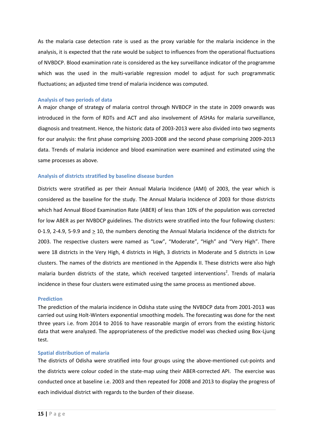As the malaria case detection rate is used as the proxy variable for the malaria incidence in the analysis, it is expected that the rate would be subject to influences from the operational fluctuations of NVBDCP. Blood examination rate is considered as the key surveillance indicator of the programme which was the used in the multi-variable regression model to adjust for such programmatic fluctuations; an adjusted time trend of malaria incidence was computed.

#### <span id="page-14-0"></span>**Analysis of two periods of data**

A major change of strategy of malaria control through NVBDCP in the state in 2009 onwards was introduced in the form of RDTs and ACT and also involvement of ASHAs for malaria surveillance, diagnosis and treatment. Hence, the historic data of 2003-2013 were also divided into two segments for our analysis: the first phase comprising 2003-2008 and the second phase comprising 2009-2013 data. Trends of malaria incidence and blood examination were examined and estimated using the same processes as above.

#### <span id="page-14-1"></span>**Analysis of districts stratified by baseline disease burden**

Districts were stratified as per their Annual Malaria Incidence (AMI) of 2003, the year which is considered as the baseline for the study. The Annual Malaria Incidence of 2003 for those districts which had Annual Blood Examination Rate (ABER) of less than 10% of the population was corrected for low ABER as per NVBDCP guidelines. The districts were stratified into the four following clusters: 0-1.9, 2-4.9, 5-9.9 and  $\geq$  10, the numbers denoting the Annual Malaria Incidence of the districts for 2003. The respective clusters were named as "Low", "Moderate", "High" and "Very High". There were 18 districts in the Very High, 4 districts in High, 3 districts in Moderate and 5 districts in Low clusters. The names of the districts are mentioned in the Appendix II. These districts were also high malaria burden districts of the state, which received targeted interventions<sup>2</sup>. Trends of malaria incidence in these four clusters were estimated using the same process as mentioned above.

#### <span id="page-14-2"></span>**Prediction**

The prediction of the malaria incidence in Odisha state using the NVBDCP data from 2001-2013 was carried out using Holt-Winters exponential smoothing models. The forecasting was done for the next three years i.e. from 2014 to 2016 to have reasonable margin of errors from the existing historic data that were analyzed. The appropriateness of the predictive model was checked using Box-Ljung test.

#### <span id="page-14-3"></span>**Spatial distribution of malaria**

The districts of Odisha were stratified into four groups using the above-mentioned cut-points and the districts were colour coded in the state-map using their ABER-corrected API. The exercise was conducted once at baseline i.e. 2003 and then repeated for 2008 and 2013 to display the progress of each individual district with regards to the burden of their disease.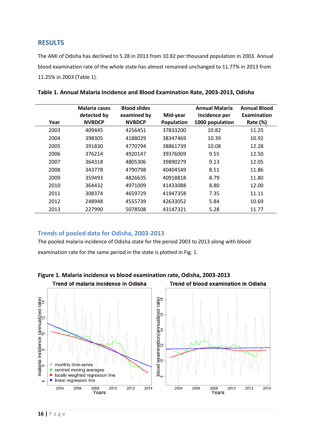## <span id="page-15-0"></span>**RESULTS**

The AMI of Odisha has declined to 5.28 in 2013 from 10.82 per thousand population in 2003. Annual blood examination rate of the whole state has almost remained unchanged to 11.77% in 2013 from 11.25% in 2003 (Table 1).

| Year | <b>Malaria cases</b><br>detected by<br><b>NVBDCP</b> | <b>Blood slides</b><br>examined by<br><b>NVBDCP</b> | Mid-year<br>Population | <b>Annual Malaria</b><br>Incidence per<br>1000 population | <b>Annual Blood</b><br>Examination<br>Rate $(\%)$ |
|------|------------------------------------------------------|-----------------------------------------------------|------------------------|-----------------------------------------------------------|---------------------------------------------------|
| 2003 | 409445                                               | 4256451                                             | 37833200               | 10.82                                                     | 11.25                                             |
| 2004 | 398305                                               | 4188029                                             | 38347469               | 10.39                                                     | 10.92                                             |
| 2005 | 391830                                               | 4770794                                             | 38861739               | 10.08                                                     | 12.28                                             |
| 2006 | 376214                                               | 4920147                                             | 39376009               | 9.55                                                      | 12.50                                             |
| 2007 | 364318                                               | 4805306                                             | 39890279               | 9.13                                                      | 12.05                                             |
| 2008 | 343778                                               | 4790798                                             | 40404549               | 8.51                                                      | 11.86                                             |
| 2009 | 359493                                               | 4826635                                             | 40918818               | 8.79                                                      | 11.80                                             |
| 2010 | 364432                                               | 4971009                                             | 41433088               | 8.80                                                      | 12.00                                             |
| 2011 | 308374                                               | 4659729                                             | 41947358               | 7.35                                                      | 11.11                                             |
| 2012 | 248948                                               | 4555739                                             | 42633052               | 5.84                                                      | 10.69                                             |
| 2013 | 227990                                               | 5078508                                             | 43147321               | 5.28                                                      | 11.77                                             |

| Table 1. Annual Malaria Incidence and Blood Examination Rate, 2003-2013, Odisha |  |  |  |
|---------------------------------------------------------------------------------|--|--|--|
|---------------------------------------------------------------------------------|--|--|--|

## <span id="page-15-1"></span>**Trends of pooled data for Odisha, 2003-2013**

The pooled malaria incidence of Odisha state for the period 2003 to 2013 along with blood examination rate for the same period in the state is plotted in Fig. 1.



**Figure 1. Malaria incidence vs blood examination rate, Odisha, 2003-2013**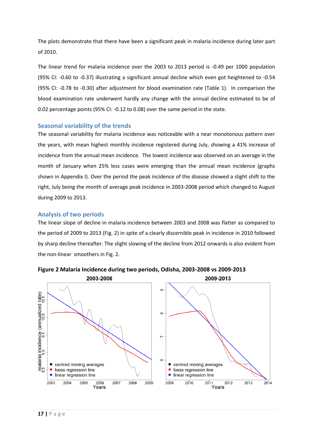The plots demonstrate that there have been a significant peak in malaria incidence during later part of 2010.

The linear trend for malaria incidence over the 2003 to 2013 period is -0.49 per 1000 population (95% CI: -0.60 to -0.37) illustrating a significant annual decline which even got heightened to -0.54 (95% CI: -0.78 to -0.30) after adjustment for blood examination rate (Table 1). In comparison the blood examination rate underwent hardly any change with the annual decline estimated to be of 0.02 percentage points (95% CI: -0.12 to 0.08) over the same period in the state.

## <span id="page-16-0"></span>**Seasonal variability of the trends**

The seasonal variability for malaria incidence was noticeable with a near monotonous pattern over the years, with mean highest monthly incidence registered during July, showing a 41% increase of incidence from the annual mean incidence. The lowest incidence was observed on an average in the month of January when 25% less cases were emerging than the annual mean incidence (graphs shown in Appendix I). Over the period the peak incidence of the disease showed a slight shift to the right, July being the month of average peak incidence in 2003-2008 period which changed to August during 2009 to 2013.

## <span id="page-16-1"></span>**Analysis of two periods**

The linear slope of decline in malaria incidence between 2003 and 2008 was flatter as compared to the period of 2009 to 2013 (Fig. 2) in spite of a clearly discernible peak in incidence in 2010 followed by sharp decline thereafter. The slight slowing of the decline from 2012 onwards is also evident from the non-linear smoothers in Fig. 2.



**Figure 2 Malaria Incidence during two periods, Odisha, 2003-2008 vs 2009-2013**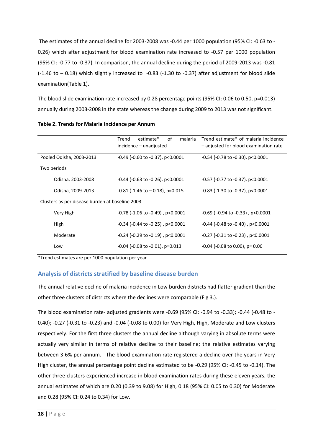The estimates of the annual decline for 2003-2008 was -0.44 per 1000 population (95% CI: -0.63 to - 0.26) which after adjustment for blood examination rate increased to -0.57 per 1000 population (95% CI: -0.77 to -0.37). In comparison, the annual decline during the period of 2009-2013 was -0.81 (-1.46 to – 0.18) which slightly increased to -0.83 (-1.30 to -0.37) after adjustment for blood slide examination(Table 1).

The blood slide examination rate increased by 0.28 percentage points (95% CI: 0.06 to 0.50, p=0.013) annually during 2003-2008 in the state whereas the change during 2009 to 2013 was not significant.

|                                                 | 0f<br>estimate*<br>Trend<br>malaria<br>incidence – unadjusted | Trend estimate* of malaria incidence<br>- adjusted for blood examination rate |
|-------------------------------------------------|---------------------------------------------------------------|-------------------------------------------------------------------------------|
| Pooled Odisha, 2003-2013                        | $-0.49$ ( $-0.60$ to $-0.37$ ), p<0.0001                      | $-0.54$ ( $-0.78$ to $-0.30$ ), p<0.0001                                      |
| Two periods                                     |                                                               |                                                                               |
| Odisha, 2003-2008                               | $-0.44$ ( $-0.63$ to $-0.26$ ), p<0.0001                      | $-0.57$ ( $-0.77$ to $-0.37$ ), p $< 0.0001$                                  |
| Odisha, 2009-2013                               | $-0.81$ ( $-1.46$ to $-0.18$ ), p=0.015                       | $-0.83$ ( $-1.30$ to $-0.37$ ), p $< 0.0001$                                  |
| Clusters as per disease burden at baseline 2003 |                                                               |                                                                               |
| Very High                                       | $-0.78$ ( $-1.06$ to $-0.49$ ), p<0.0001                      | $-0.69$ ( $-0.94$ to $-0.33$ ), p<0.0001                                      |
| High                                            | $-0.34$ ( $-0.44$ to $-0.25$ ), p<0.0001                      | $-0.44$ ( $-0.48$ to $-0.40$ ), p<0.0001                                      |
| Moderate                                        | $-0.24$ ( $-0.29$ to $-0.19$ ), p<0.0001                      | $-0.27$ ( $-0.31$ to $-0.23$ ), p<0.0001                                      |
| Low                                             | $-0.04$ ( $-0.08$ to $-0.01$ ), p=0.013                       | $-0.04$ ( $-0.08$ to 0.00), p= 0.06                                           |

| Table 2. Trends for Malaria Incidence per Annum |  |  |
|-------------------------------------------------|--|--|
|-------------------------------------------------|--|--|

\*Trend estimates are per 1000 population per year

## <span id="page-17-0"></span>**Analysis of districts stratified by baseline disease burden**

The annual relative decline of malaria incidence in Low burden districts had flatter gradient than the other three clusters of districts where the declines were comparable (Fig 3.).

The blood examination rate- adjusted gradients were -0.69 (95% CI: -0.94 to -0.33); -0.44 (-0.48 to - 0.40); -0.27 (-0.31 to -0.23) and -0.04 (-0.08 to 0.00) for Very High, High, Moderate and Low clusters respectively. For the first three clusters the annual decline although varying in absolute terms were actually very similar in terms of relative decline to their baseline; the relative estimates varying between 3-6% per annum. The blood examination rate registered a decline over the years in Very High cluster, the annual percentage point decline estimated to be -0.29 (95% CI: -0.45 to -0.14). The other three clusters experienced increase in blood examination rates during these eleven years, the annual estimates of which are 0.20 (0.39 to 9.08) for High, 0.18 (95% CI: 0.05 to 0.30) for Moderate and 0.28 (95% CI: 0.24 to 0.34) for Low.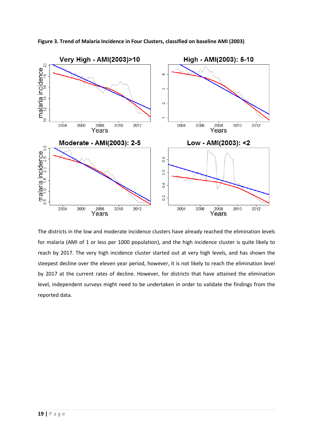

**Figure 3. Trend of Malaria Incidence in Four Clusters, classified on baseline AMI (2003)** 

<span id="page-18-0"></span>The districts in the low and moderate incidence clusters have already reached the elimination levels for malaria (AMI of 1 or less per 1000 population), and the high incidence cluster is quite likely to reach by 2017. The very high incidence cluster started out at very high levels, and has shown the steepest decline over the eleven year period, however, it is not likely to reach the elimination level by 2017 at the current rates of decline. However, for districts that have attained the elimination level, independent surveys might need to be undertaken in order to validate the findings from the reported data.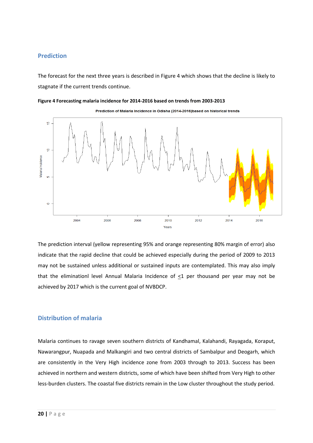## **Prediction**

The forecast for the next three years is described in Figure 4 which shows that the decline is likely to stagnate if the current trends continue.





Prediction of Malaria Incidence in Odisha (2014-2016) based on historical trends

The prediction interval (yellow representing 95% and orange representing 80% margin of error) also indicate that the rapid decline that could be achieved especially during the period of 2009 to 2013 may not be sustained unless additional or sustained inputs are contemplated. This may also imply that the eliminationl level Annual Malaria Incidence of <1 per thousand per year may not be achieved by 2017 which is the current goal of NVBDCP.

## <span id="page-19-0"></span>**Distribution of malaria**

Malaria continues to ravage seven southern districts of Kandhamal, Kalahandi, Rayagada, Koraput, Nawarangpur, Nuapada and Malkangiri and two central districts of Sambalpur and Deogarh, which are consistently in the Very High incidence zone from 2003 through to 2013. Success has been achieved in northern and western districts, some of which have been shifted from Very High to other less-burden clusters. The coastal five districts remain in the Low cluster throughout the study period.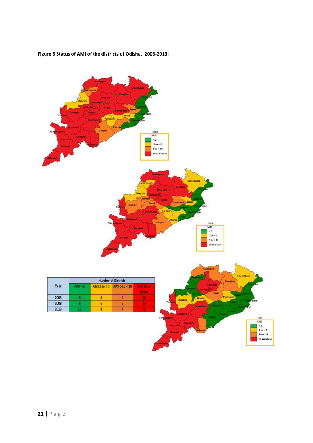

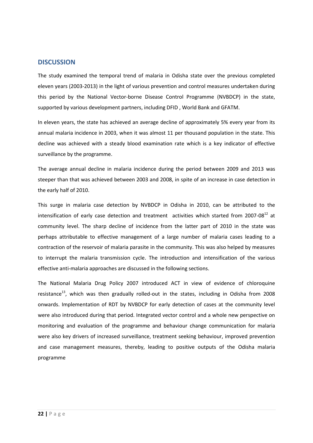## <span id="page-21-0"></span>**DISCUSSION**

The study examined the temporal trend of malaria in Odisha state over the previous completed eleven years (2003-2013) in the light of various prevention and control measures undertaken during this period by the National Vector-borne Disease Control Programme (NVBDCP) in the state, supported by various development partners, including DFID , World Bank and GFATM.

In eleven years, the state has achieved an average decline of approximately 5% every year from its annual malaria incidence in 2003, when it was almost 11 per thousand population in the state. This decline was achieved with a steady blood examination rate which is a key indicator of effective surveillance by the programme.

The average annual decline in malaria incidence during the period between 2009 and 2013 was steeper than that was achieved between 2003 and 2008, in spite of an increase in case detection in the early half of 2010.

This surge in malaria case detection by NVBDCP in Odisha in 2010, can be attributed to the intensification of early case detection and treatment activities which started from 2007-08<sup>12</sup> at community level. The sharp decline of incidence from the latter part of 2010 in the state was perhaps attributable to effective management of a large number of malaria cases leading to a contraction of the reservoir of malaria parasite in the community. This was also helped by measures to interrupt the malaria transmission cycle. The introduction and intensification of the various effective anti-malaria approaches are discussed in the following sections.

The National Malaria Drug Policy 2007 introduced ACT in view of evidence of chloroquine resistance<sup>13</sup>, which was then gradually rolled-out in the states, including in Odisha from 2008 onwards. Implementation of RDT by NVBDCP for early detection of cases at the community level were also introduced during that period. Integrated vector control and a whole new perspective on monitoring and evaluation of the programme and behaviour change communication for malaria were also key drivers of increased surveillance, treatment seeking behaviour, improved prevention and case management measures, thereby, leading to positive outputs of the Odisha malaria programme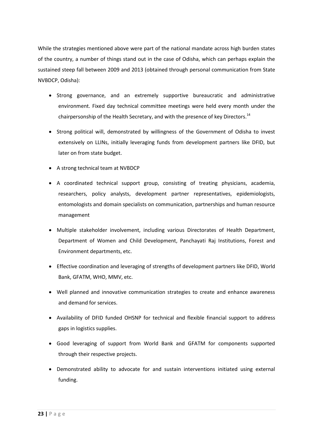While the strategies mentioned above were part of the national mandate across high burden states of the country, a number of things stand out in the case of Odisha, which can perhaps explain the sustained steep fall between 2009 and 2013 (obtained through personal communication from State NVBDCP, Odisha):

- Strong governance, and an extremely supportive bureaucratic and administrative environment. Fixed day technical committee meetings were held every month under the chairpersonship of the Health Secretary, and with the presence of key Directors.<sup>14</sup>
- Strong political will, demonstrated by willingness of the Government of Odisha to invest extensively on LLINs, initially leveraging funds from development partners like DFID, but later on from state budget.
- A strong technical team at NVBDCP
- A coordinated technical support group, consisting of treating physicians, academia, researchers, policy analysts, development partner representatives, epidemiologists, entomologists and domain specialists on communication, partnerships and human resource management
- Multiple stakeholder involvement, including various Directorates of Health Department, Department of Women and Child Development, Panchayati Raj Institutions, Forest and Environment departments, etc.
- Effective coordination and leveraging of strengths of development partners like DFID, World Bank, GFATM, WHO, MMV, etc.
- Well planned and innovative communication strategies to create and enhance awareness and demand for services.
- Availability of DFID funded OHSNP for technical and flexible financial support to address gaps in logistics supplies.
- Good leveraging of support from World Bank and GFATM for components supported through their respective projects.
- Demonstrated ability to advocate for and sustain interventions initiated using external funding.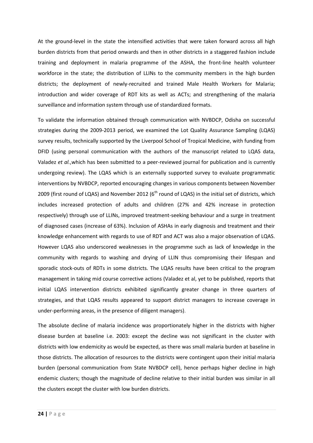At the ground-level in the state the intensified activities that were taken forward across all high burden districts from that period onwards and then in other districts in a staggered fashion include training and deployment in malaria programme of the ASHA, the front-line health volunteer workforce in the state; the distribution of LLINs to the community members in the high burden districts; the deployment of newly-recruited and trained Male Health Workers for Malaria; introduction and wider coverage of RDT kits as well as ACTs; and strengthening of the malaria surveillance and information system through use of standardized formats.

To validate the information obtained through communication with NVBDCP, Odisha on successful strategies during the 2009-2013 period, we examined the Lot Quality Assurance Sampling (LQAS) survey results, technically supported by the Liverpool School of Tropical Medicine, with funding from DFID (using personal communication with the authors of the manuscript related to LQAS data, Valadez *et al.*,which has been submitted to a peer-reviewed journal for publication and is currently undergoing review). The LQAS which is an externally supported survey to evaluate programmatic interventions by NVBDCP, reported encouraging changes in various components between November 2009 (first round of LQAS) and November 2012 ( $6<sup>th</sup>$  round of LQAS) in the initial set of districts, which includes increased protection of adults and children (27% and 42% increase in protection respectively) through use of LLINs, improved treatment-seeking behaviour and a surge in treatment of diagnosed cases (increase of 63%). Inclusion of ASHAs in early diagnosis and treatment and their knowledge enhancement with regards to use of RDT and ACT was also a major observation of LQAS. However LQAS also underscored weaknesses in the programme such as lack of knowledge in the community with regards to washing and drying of LLIN thus compromising their lifespan and sporadic stock-outs of RDTs in some districts*.* The LQAS results have been critical to the program management in taking mid course corrective actions (Valadez et al, yet to be published, reports that initial LQAS intervention districts exhibited significantly greater change in three quarters of strategies, and that LQAS results appeared to support district managers to increase coverage in under-performing areas, in the presence of diligent managers).

The absolute decline of malaria incidence was proportionately higher in the districts with higher disease burden at baseline i.e. 2003: except the decline was not significant in the cluster with districts with low endemicity as would be expected, as there was small malaria burden at baseline in those districts. The allocation of resources to the districts were contingent upon their initial malaria burden (personal communication from State NVBDCP cell), hence perhaps higher decline in high endemic clusters; though the magnitude of decline relative to their initial burden was similar in all the clusters except the cluster with low burden districts.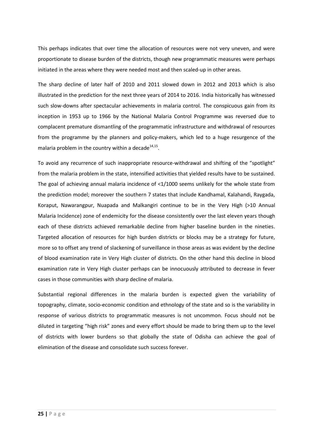This perhaps indicates that over time the allocation of resources were not very uneven, and were proportionate to disease burden of the districts, though new programmatic measures were perhaps initiated in the areas where they were needed most and then scaled-up in other areas.

The sharp decline of later half of 2010 and 2011 slowed down in 2012 and 2013 which is also illustrated in the prediction for the next three years of 2014 to 2016. India historically has witnessed such slow-downs after spectacular achievements in malaria control. The conspicuous gain from its inception in 1953 up to 1966 by the National Malaria Control Programme was reversed due to complacent premature dismantling of the programmatic infrastructure and withdrawal of resources from the programme by the planners and policy-makers, which led to a huge resurgence of the malaria problem in the country within a decade $^{14,15}$ .

To avoid any recurrence of such inappropriate resource-withdrawal and shifting of the "spotlight" from the malaria problem in the state, intensified activities that yielded results have to be sustained. The goal of achieving annual malaria incidence of <1/1000 seems unlikely for the whole state from the prediction model; moreover the southern 7 states that include Kandhamal, Kalahandi, Raygada, Koraput, Nawarangpur, Nuapada and Malkangiri continue to be in the Very High (>10 Annual Malaria Incidence) zone of endemicity for the disease consistently over the last eleven years though each of these districts achieved remarkable decline from higher baseline burden in the nineties. Targeted allocation of resources for high burden districts or blocks may be a strategy for future, more so to offset any trend of slackening of surveillance in those areas as was evident by the decline of blood examination rate in Very High cluster of districts. On the other hand this decline in blood examination rate in Very High cluster perhaps can be innocuously attributed to decrease in fever cases in those communities with sharp decline of malaria.

<span id="page-24-0"></span>Substantial regional differences in the malaria burden is expected given the variability of topography, climate, socio-economic condition and ethnology of the state and so is the variability in response of various districts to programmatic measures is not uncommon. Focus should not be diluted in targeting "high risk" zones and every effort should be made to bring them up to the level of districts with lower burdens so that globally the state of Odisha can achieve the goal of elimination of the disease and consolidate such success forever.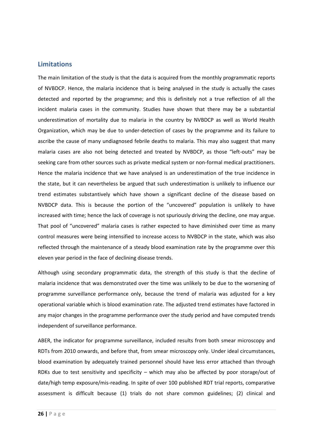## **Limitations**

The main limitation of the study is that the data is acquired from the monthly programmatic reports of NVBDCP. Hence, the malaria incidence that is being analysed in the study is actually the cases detected and reported by the programme; and this is definitely not a true reflection of all the incident malaria cases in the community. Studies have shown that there may be a substantial underestimation of mortality due to malaria in the country by NVBDCP as well as World Health Organization, which may be due to under-detection of cases by the programme and its failure to ascribe the cause of many undiagnosed febrile deaths to malaria. This may also suggest that many malaria cases are also not being detected and treated by NVBDCP, as those "left-outs" may be seeking care from other sources such as private medical system or non-formal medical practitioners. Hence the malaria incidence that we have analysed is an underestimation of the true incidence in the state, but it can nevertheless be argued that such underestimation is unlikely to influence our trend estimates substantively which have shown a significant decline of the disease based on NVBDCP data. This is because the portion of the "uncovered" population is unlikely to have increased with time; hence the lack of coverage is not spuriously driving the decline, one may argue. That pool of "uncovered" malaria cases is rather expected to have diminished over time as many control measures were being intensified to increase access to NVBDCP in the state, which was also reflected through the maintenance of a steady blood examination rate by the programme over this eleven year period in the face of declining disease trends.

Although using secondary programmatic data, the strength of this study is that the decline of malaria incidence that was demonstrated over the time was unlikely to be due to the worsening of programme surveillance performance only, because the trend of malaria was adjusted for a key operational variable which is blood examination rate. The adjusted trend estimates have factored in any major changes in the programme performance over the study period and have computed trends independent of surveillance performance.

ABER, the indicator for programme surveillance, included results from both smear microscopy and RDTs from 2010 onwards, and before that, from smear microscopy only. Under ideal circumstances, blood examination by adequately trained personnel should have less error attached than through RDKs due to test sensitivity and specificity – which may also be affected by poor storage/out of date/high temp exposure/mis-reading. In spite of over 100 published RDT trial reports, comparative assessment is difficult because (1) trials do not share common guidelines; (2) clinical and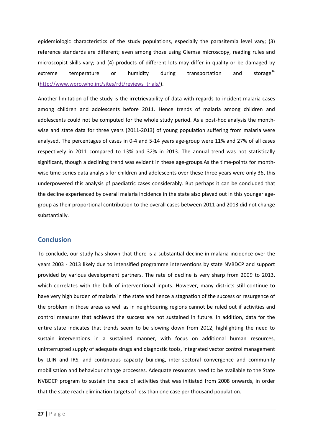epidemiologic characteristics of the study populations, especially the parasitemia level vary; (3) reference standards are different; even among those using Giemsa microscopy, reading rules and microscopist skills vary; and (4) products of different lots may differ in quality or be damaged by extreme temperature or humidity during transportation and storage<sup>16</sup> [\(http://www.wpro.who.int/sites/rdt/reviews\\_trials/\)](http://www.wpro.who.int/sites/rdt/reviews_trials/).

Another limitation of the study is the irretrievability of data with regards to incident malaria cases among children and adolescents before 2011. Hence trends of malaria among children and adolescents could not be computed for the whole study period. As a post-hoc analysis the monthwise and state data for three years (2011-2013) of young population suffering from malaria were analysed. The percentages of cases in 0-4 and 5-14 years age-group were 11% and 27% of all cases respectively in 2011 compared to 13% and 32% in 2013. The annual trend was not statistically significant, though a declining trend was evident in these age-groups.As the time-points for monthwise time-series data analysis for children and adolescents over these three years were only 36, this underpowered this analysis pf paediatric cases considerably. But perhaps it can be concluded that the decline experienced by overall malaria incidence in the state also played out in this younger agegroup as their proportional contribution to the overall cases between 2011 and 2013 did not change substantially.

## <span id="page-26-0"></span>**Conclusion**

To conclude, our study has shown that there is a substantial decline in malaria incidence over the years 2003 - 2013 likely due to intensified programme interventions by state NVBDCP and support provided by various development partners. The rate of decline is very sharp from 2009 to 2013, which correlates with the bulk of interventional inputs. However, many districts still continue to have very high burden of malaria in the state and hence a stagnation of the success or resurgence of the problem in those areas as well as in neighbouring regions cannot be ruled out if activities and control measures that achieved the success are not sustained in future. In addition, data for the entire state indicates that trends seem to be slowing down from 2012, highlighting the need to sustain interventions in a sustained manner, with focus on additional human resources, uninterrupted supply of adequate drugs and diagnostic tools, integrated vector control management by LLIN and IRS, and continuous capacity building, inter-sectoral convergence and community mobilisation and behaviour change processes. Adequate resources need to be available to the State NVBDCP program to sustain the pace of activities that was initiated from 2008 onwards, in order that the state reach elimination targets of less than one case per thousand population.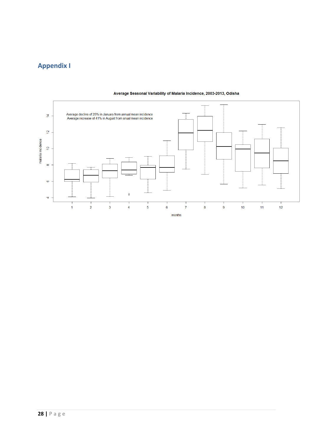# <span id="page-27-0"></span>**Appendix I**



#### Average Seasonal Variability of Malaria Incidence, 2003-2013, Odisha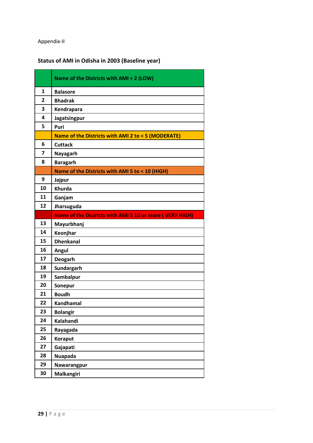## <span id="page-28-0"></span>Appendix-II

# **Status of AMI in Odisha in 2003 (Baseline year)**

|    | Name of the Districts with AMI < 2 (LOW)                 |
|----|----------------------------------------------------------|
| 1  | <b>Balasore</b>                                          |
| 2  | <b>Bhadrak</b>                                           |
| 3  | Kendrapara                                               |
| 4  | Jagatsingpur                                             |
| 5  | Puri                                                     |
|    | Name of the Districts with AMI 2 to < 5 (MODERATE)       |
| 6  | <b>Cuttack</b>                                           |
| 7  | <b>Nayagarh</b>                                          |
| 8  | <b>Baragarh</b>                                          |
|    | Name of the Districts with AMI 5 to < 10 (HIGH)          |
| 9  | Jajpur                                                   |
| 10 | <b>Khurda</b>                                            |
| 11 | Ganjam                                                   |
| 12 | Jharsuguda                                               |
|    | Name of the Districts with AMI 5 10 or more ( VERY HIGH) |
| 13 | Mayurbhanj                                               |
| 14 | Keonjhar                                                 |
| 15 | <b>Dhenkanal</b>                                         |
| 16 | Angul                                                    |
| 17 | <b>Deogarh</b>                                           |
| 18 | Sundargarh                                               |
| 19 | Sambalpur                                                |
| 20 | Sonepur                                                  |
| 21 | <b>Boudh</b>                                             |
| 22 | <b>Kandhamal</b>                                         |
| 23 | <b>Bolangir</b>                                          |
| 24 | Kalahandi                                                |
| 25 | Rayagada                                                 |
| 26 | <b>Koraput</b>                                           |
| 27 |                                                          |
|    | Gajapati                                                 |
| 28 | <b>Nuapada</b>                                           |
| 29 | Nawarangpur                                              |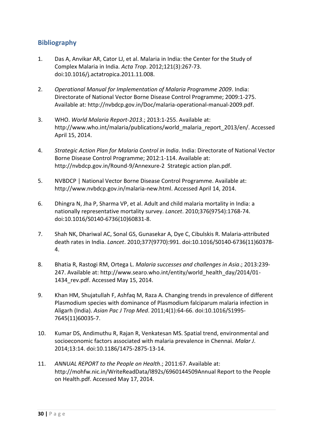## <span id="page-29-0"></span>**Bibliography**

- 1. Das A, Anvikar AR, Cator LJ, et al. Malaria in India: the Center for the Study of Complex Malaria in India. *Acta Trop*. 2012;121(3):267-73. doi:10.1016/j.actatropica.2011.11.008.
- 2. *Operational Manual for Implementation of Malaria Programme 2009*. India: Directorate of National Vector Borne Disease Control Programme; 2009:1-275. Available at: http://nvbdcp.gov.in/Doc/malaria-operational-manual-2009.pdf.
- 3. WHO. *World Malaria Report-2013*.; 2013:1-255. Available at: http://www.who.int/malaria/publications/world\_malaria\_report\_2013/en/. Accessed April 15, 2014.
- 4. *Strategic Action Plan for Malaria Control in India*. India: Directorate of National Vector Borne Disease Control Programme; 2012:1-114. Available at: http://nvbdcp.gov.in/Round-9/Annexure-2 Strategic action plan.pdf.
- 5. NVBDCP | National Vector Borne Disease Control Programme. Available at: http://www.nvbdcp.gov.in/malaria-new.html. Accessed April 14, 2014.
- 6. Dhingra N, Jha P, Sharma VP, et al. Adult and child malaria mortality in India: a nationally representative mortality survey. *Lancet*. 2010;376(9754):1768-74. doi:10.1016/S0140-6736(10)60831-8.
- 7. Shah NK, Dhariwal AC, Sonal GS, Gunasekar A, Dye C, Cibulskis R. Malaria-attributed death rates in India. *Lancet*. 2010;377(9770):991. doi:10.1016/S0140-6736(11)60378- 4.
- 8. Bhatia R, Rastogi RM, Ortega L. *Malaria successes and challenges in Asia*.; 2013:239- 247. Available at: http://www.searo.who.int/entity/world\_health\_day/2014/01- 1434\_rev.pdf. Accessed May 15, 2014.
- 9. Khan HM, Shujatullah F, Ashfaq M, Raza A. Changing trends in prevalence of different Plasmodium species with dominance of Plasmodium falciparum malaria infection in Aligarh (India). *Asian Pac J Trop Med*. 2011;4(1):64-66. doi:10.1016/S1995- 7645(11)60035-7.
- 10. Kumar DS, Andimuthu R, Rajan R, Venkatesan MS. Spatial trend, environmental and socioeconomic factors associated with malaria prevalence in Chennai. *Malar J*. 2014;13:14. doi:10.1186/1475-2875-13-14.
- 11. *ANNUAL REPORT to the People on Health*.; 2011:67. Available at: http://mohfw.nic.in/WriteReadData/l892s/6960144509Annual Report to the People on Health.pdf. Accessed May 17, 2014.